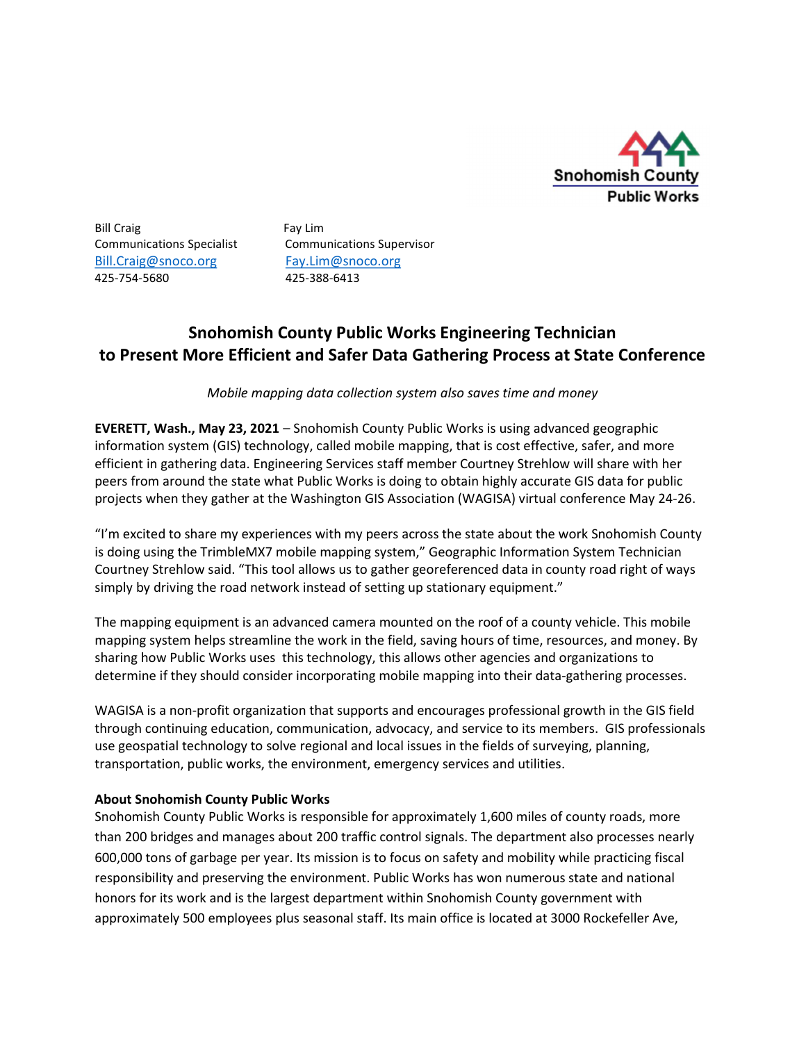

Bill Craig Fay Lim Bill.Craig@snoco.org Fay.Lim@snoco.org 425-754-5680 425-388-6413

Communications Specialist Communications Supervisor

## Snohomish County Public Works Engineering Technician to Present More Efficient and Safer Data Gathering Process at State Conference

Mobile mapping data collection system also saves time and money

EVERETT, Wash., May 23, 2021 – Snohomish County Public Works is using advanced geographic information system (GIS) technology, called mobile mapping, that is cost effective, safer, and more efficient in gathering data. Engineering Services staff member Courtney Strehlow will share with her peers from around the state what Public Works is doing to obtain highly accurate GIS data for public projects when they gather at the Washington GIS Association (WAGISA) virtual conference May 24-26.

"I'm excited to share my experiences with my peers across the state about the work Snohomish County is doing using the TrimbleMX7 mobile mapping system," Geographic Information System Technician Courtney Strehlow said. "This tool allows us to gather georeferenced data in county road right of ways simply by driving the road network instead of setting up stationary equipment."

The mapping equipment is an advanced camera mounted on the roof of a county vehicle. This mobile mapping system helps streamline the work in the field, saving hours of time, resources, and money. By sharing how Public Works uses this technology, this allows other agencies and organizations to determine if they should consider incorporating mobile mapping into their data-gathering processes.

WAGISA is a non-profit organization that supports and encourages professional growth in the GIS field through continuing education, communication, advocacy, and service to its members. GIS professionals use geospatial technology to solve regional and local issues in the fields of surveying, planning, transportation, public works, the environment, emergency services and utilities.

## About Snohomish County Public Works

Snohomish County Public Works is responsible for approximately 1,600 miles of county roads, more than 200 bridges and manages about 200 traffic control signals. The department also processes nearly 600,000 tons of garbage per year. Its mission is to focus on safety and mobility while practicing fiscal responsibility and preserving the environment. Public Works has won numerous state and national honors for its work and is the largest department within Snohomish County government with approximately 500 employees plus seasonal staff. Its main office is located at 3000 Rockefeller Ave,